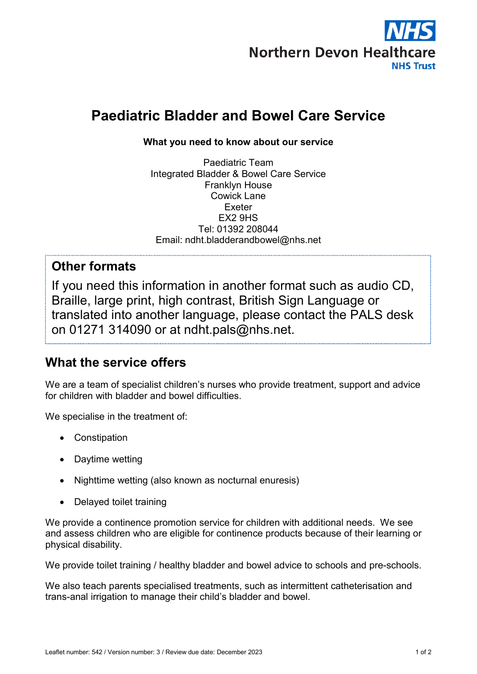

# Paediatric Bladder and Bowel Care Service

#### What you need to know about our service

Paediatric Team Integrated Bladder & Bowel Care Service Franklyn House Cowick Lane Exeter EX2 9HS Tel: 01392 208044 Email: ndht.bladderandbowel@nhs.net

### Other formats

If you need this information in another format such as audio CD, Braille, large print, high contrast, British Sign Language or translated into another language, please contact the PALS desk on 01271 314090 or at ndht.pals@nhs.net.

# What the service offers

We are a team of specialist children's nurses who provide treatment, support and advice for children with bladder and bowel difficulties.

We specialise in the treatment of:

- Constipation
- Daytime wetting
- Nighttime wetting (also known as nocturnal enuresis)
- Delayed toilet training

We provide a continence promotion service for children with additional needs. We see and assess children who are eligible for continence products because of their learning or physical disability.

We provide toilet training / healthy bladder and bowel advice to schools and pre-schools.

We also teach parents specialised treatments, such as intermittent catheterisation and trans-anal irrigation to manage their child's bladder and bowel.